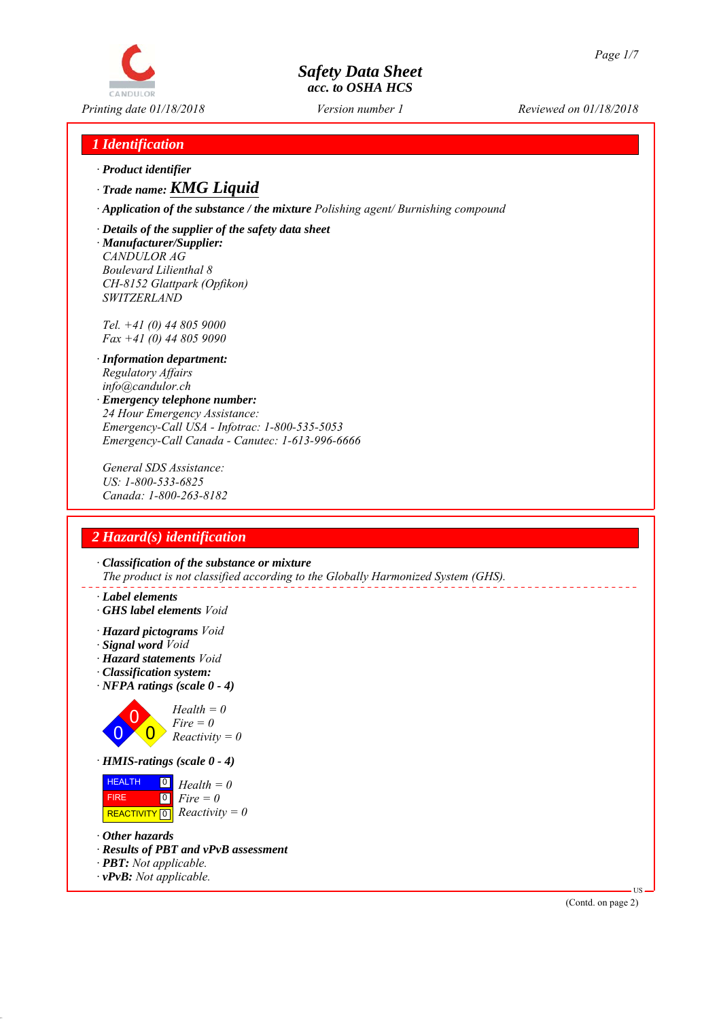# CANDIJIO

## *Safety Data Sheet acc. to OSHA HCS*

*Printing date 01/18/2018 Reviewed on 01/18/2018 Version number 1*

### *1 Identification*

*∙ Product identifier*

*∙ Trade name: KMG Liquid*

*∙ Application of the substance / the mixture Polishing agent/ Burnishing compound*

*∙ Details of the supplier of the safety data sheet ∙ Manufacturer/Supplier:*

*CANDULOR AG Boulevard Lilienthal 8 CH-8152 Glattpark (Opfikon) SWITZERLAND*

*Tel. +41 (0) 44 805 9000 Fax +41 (0) 44 805 9090*

- *∙ Information department: Regulatory Affairs info@candulor.ch*
- *∙ Emergency telephone number: 24 Hour Emergency Assistance: Emergency-Call USA - Infotrac: 1-800-535-5053 Emergency-Call Canada - Canutec: 1-613-996-6666*

*General SDS Assistance: US: 1-800-533-6825 Canada: 1-800-263-8182*

## *2 Hazard(s) identification*

*∙ Classification of the substance or mixture The product is not classified according to the Globally Harmonized System (GHS).*

- *∙ Label elements*
- *∙ GHS label elements Void*
- *∙ Hazard pictograms Void*
- *∙ Signal word Void*
- *∙ Hazard statements Void*
- *∙ Classification system:*
- *∙ NFPA ratings (scale 0 4)*



| <b>HEALTH</b> | $\begin{bmatrix} 0 \\ H \end{bmatrix}$ Health = 0 |
|---------------|---------------------------------------------------|
| <b>FIRE</b>   | $\vert 0 \vert$ Fire = 0                          |
|               | REACTIVITY $\boxed{0}$ <i>Reactivity</i> = 0      |

- *∙ Other hazards*
- *∙ Results of PBT and vPvB assessment*
- *∙ PBT: Not applicable.*
- *∙ vPvB: Not applicable.*

(Contd. on page 2)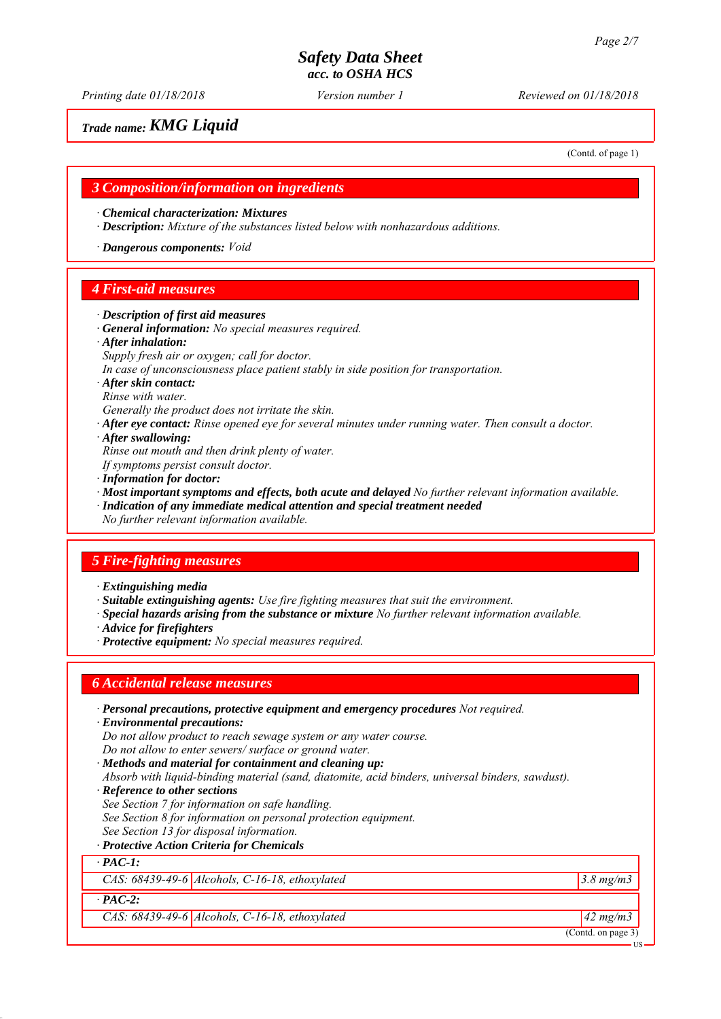*Printing date 01/18/2018 Reviewed on 01/18/2018 Version number 1*

#### *Trade name: KMG Liquid*

(Contd. of page 1)

#### *3 Composition/information on ingredients*

*∙ Chemical characterization: Mixtures*

*∙ Description: Mixture of the substances listed below with nonhazardous additions.*

*∙ Dangerous components: Void*

#### *4 First-aid measures*

- *∙ Description of first aid measures*
- *∙ General information: No special measures required.*
- *∙ After inhalation:*
- *Supply fresh air or oxygen; call for doctor.*

*In case of unconsciousness place patient stably in side position for transportation.*

- *∙ After skin contact:*
- *Rinse with water.*

*Generally the product does not irritate the skin.*

*∙ After eye contact: Rinse opened eye for several minutes under running water. Then consult a doctor.*

*∙ After swallowing:*

*Rinse out mouth and then drink plenty of water.*

- *If symptoms persist consult doctor.*
- *∙ Information for doctor:*

*∙ Most important symptoms and effects, both acute and delayed No further relevant information available.*

- *∙ Indication of any immediate medical attention and special treatment needed*
- *No further relevant information available.*

#### *5 Fire-fighting measures*

*∙ Extinguishing media*

- *∙ Suitable extinguishing agents: Use fire fighting measures that suit the environment.*
- *∙ Special hazards arising from the substance or mixture No further relevant information available.*

*∙ Advice for firefighters*

*∙ Protective equipment: No special measures required.*

#### *6 Accidental release measures*

*∙ Personal precautions, protective equipment and emergency procedures Not required.*

- *∙ Environmental precautions:*
- *Do not allow product to reach sewage system or any water course.*

*Do not allow to enter sewers/ surface or ground water.*

- *∙ Methods and material for containment and cleaning up:*
- *Absorb with liquid-binding material (sand, diatomite, acid binders, universal binders, sawdust).*
- *∙ Reference to other sections*
- *See Section 7 for information on safe handling.*

*See Section 8 for information on personal protection equipment.*

- *See Section 13 for disposal information.*
- *∙ Protective Action Criteria for Chemicals*

*∙ PAC-1:*

*CAS: 68439-49-6 Alcohols, C-16-18, ethoxylated 3.8 mg/m3*

*∙ PAC-2:*

*CAS: 68439-49-6 Alcohols, C-16-18, ethoxylated 42 mg/m3*

(Contd. on page 3)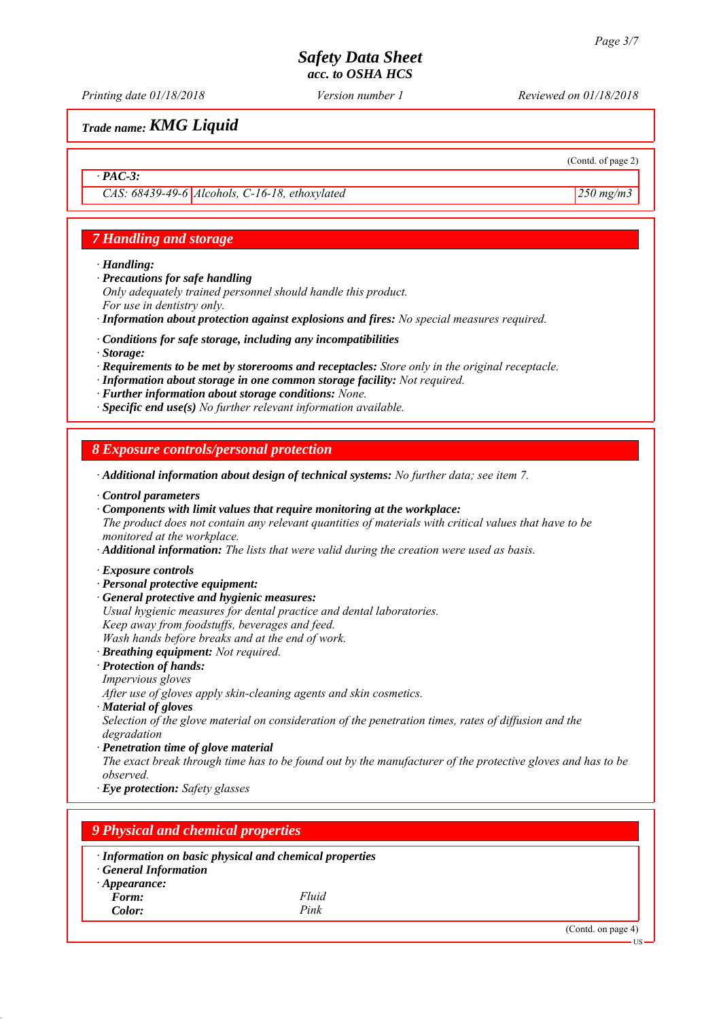*Printing date 01/18/2018 Reviewed on 01/18/2018 Version number 1*

(Contd. of page 2)

*Trade name: KMG Liquid*

#### *∙ PAC-3:*

*CAS: 68439-49-6 Alcohols, C-16-18, ethoxylated 250 mg/m3*

#### *7 Handling and storage*

*∙ Handling:*

- *∙ Precautions for safe handling*
- *Only adequately trained personnel should handle this product. For use in dentistry only.*
- *∙ Information about protection against explosions and fires: No special measures required.*
- *∙ Conditions for safe storage, including any incompatibilities*
- *∙ Storage:*
- *∙ Requirements to be met by storerooms and receptacles: Store only in the original receptacle.*
- *∙ Information about storage in one common storage facility: Not required.*
- *∙ Further information about storage conditions: None.*
- *∙ Specific end use(s) No further relevant information available.*

#### *8 Exposure controls/personal protection*

- *∙ Additional information about design of technical systems: No further data; see item 7.*
- *∙ Control parameters*
- *∙ Components with limit values that require monitoring at the workplace:*
- *The product does not contain any relevant quantities of materials with critical values that have to be monitored at the workplace.*
- *∙ Additional information: The lists that were valid during the creation were used as basis.*
- *∙ Exposure controls*
- *∙ Personal protective equipment:*
- *∙ General protective and hygienic measures: Usual hygienic measures for dental practice and dental laboratories. Keep away from foodstuffs, beverages and feed. Wash hands before breaks and at the end of work.*
- *∙ Breathing equipment: Not required.*
- *∙ Protection of hands: Impervious gloves*

*After use of gloves apply skin-cleaning agents and skin cosmetics.*

*∙ Material of gloves*

*Selection of the glove material on consideration of the penetration times, rates of diffusion and the degradation*

*∙ Penetration time of glove material*

*The exact break through time has to be found out by the manufacturer of the protective gloves and has to be observed.*

*∙ Eye protection: Safety glasses*

#### *9 Physical and chemical properties ∙ Information on basic physical and chemical properties ∙ General Information ∙ Appearance: Form: Fluid Color: Pink* (Contd. on page 4) US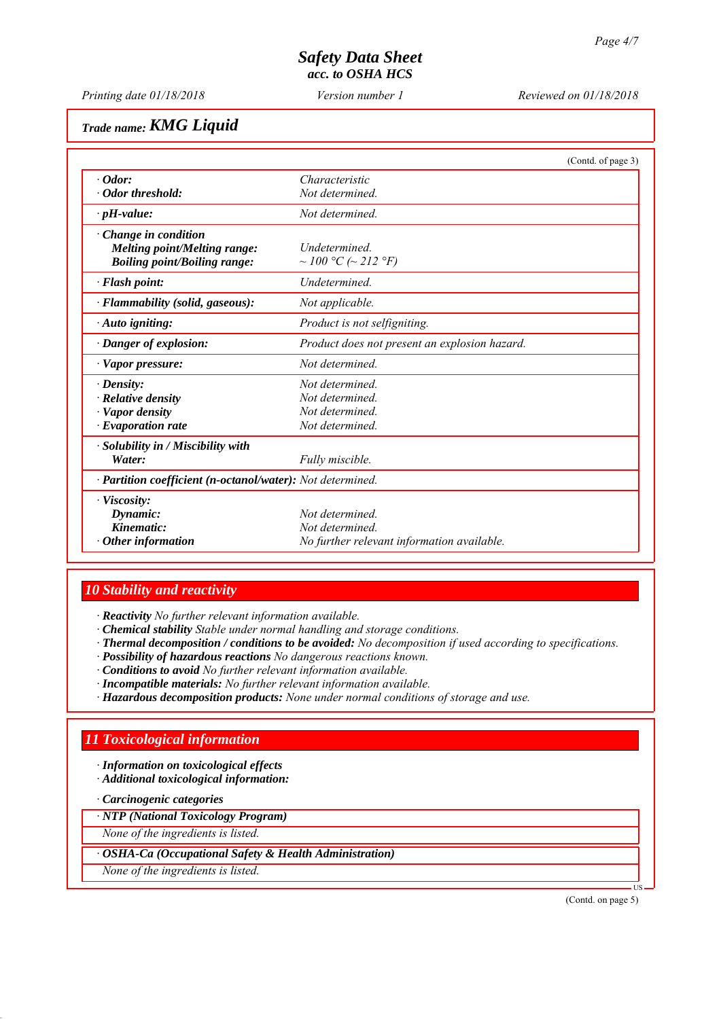*Printing date 01/18/2018 Reviewed on 01/18/2018 Version number 1*

# *Trade name: KMG Liquid*

|                                                                                                           |                                               | (Contd. of page 3) |
|-----------------------------------------------------------------------------------------------------------|-----------------------------------------------|--------------------|
| $\cdot$ Odor:                                                                                             | Characteristic                                |                    |
| • Odor threshold:                                                                                         | Not determined                                |                    |
| $\cdot$ pH-value:                                                                                         | Not determined                                |                    |
| $\cdot$ Change in condition<br><b>Melting point/Melting range:</b><br><b>Boiling point/Boiling range:</b> | <i>Undetermined</i><br>~ 100 °C (~ 212 °F)    |                    |
| $\cdot$ Flash point:                                                                                      | <b>Undetermined</b>                           |                    |
| · Flammability (solid, gaseous):                                                                          | Not applicable.                               |                    |
| $\cdot$ Auto igniting:                                                                                    | Product is not selfigniting.                  |                    |
| · Danger of explosion:                                                                                    | Product does not present an explosion hazard. |                    |
| $\cdot$ Vapor pressure:                                                                                   | Not determined.                               |                    |
| $\cdot$ Density:                                                                                          | Not determined                                |                    |
| $\cdot$ Relative density                                                                                  | Not determined.                               |                    |
| · Vapor density                                                                                           | Not determined                                |                    |
| $\cdot$ Evaporation rate                                                                                  | Not determined.                               |                    |
| $\cdot$ Solubility in / Miscibility with<br>Water:                                                        | Fully miscible.                               |                    |
| · Partition coefficient (n-octanol/water): Not determined.                                                |                                               |                    |
| $\cdot$ Viscosity:                                                                                        |                                               |                    |
| Dynamic:                                                                                                  | Not determined.                               |                    |
| Kinematic:                                                                                                | Not determined.                               |                    |
| $\cdot$ Other information                                                                                 | No further relevant information available.    |                    |

#### *10 Stability and reactivity*

*∙ Reactivity No further relevant information available.*

- *∙ Chemical stability Stable under normal handling and storage conditions.*
- *∙ Thermal decomposition / conditions to be avoided: No decomposition if used according to specifications.*
- *∙ Possibility of hazardous reactions No dangerous reactions known.*
- *∙ Conditions to avoid No further relevant information available.*
- *∙ Incompatible materials: No further relevant information available.*
- *∙ Hazardous decomposition products: None under normal conditions of storage and use.*

#### *11 Toxicological information*

- *∙ Information on toxicological effects*
- *∙ Additional toxicological information:*

*∙ Carcinogenic categories*

*∙ NTP (National Toxicology Program)*

*None of the ingredients is listed.*

- *∙ OSHA-Ca (Occupational Safety & Health Administration)*
- *None of the ingredients is listed.*

(Contd. on page 5)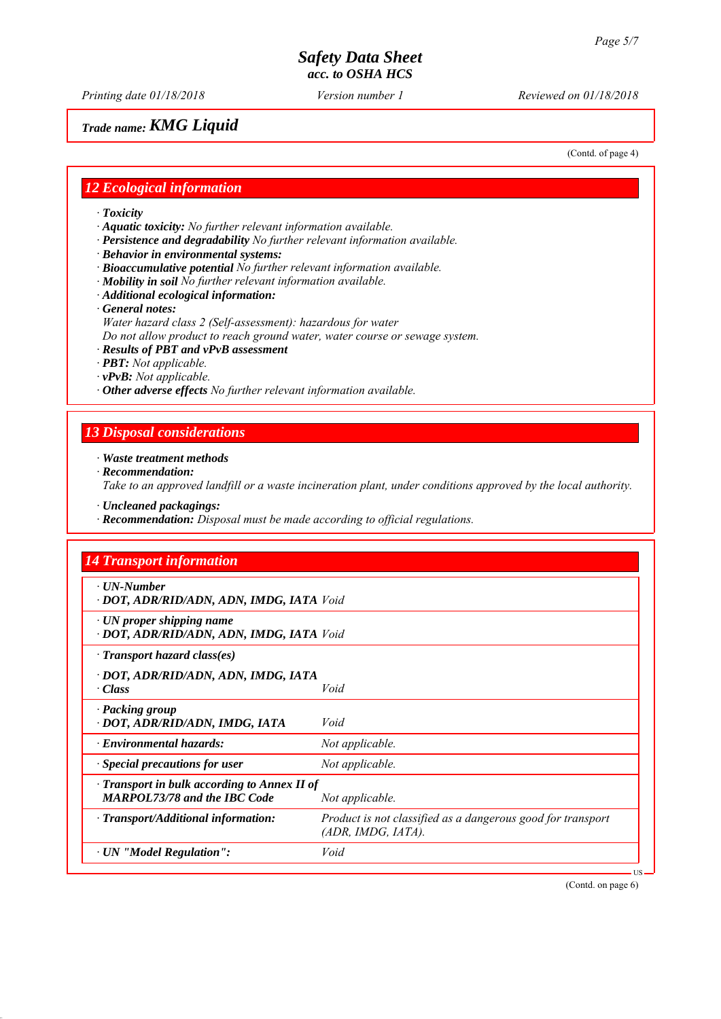*Printing date 01/18/2018 Reviewed on 01/18/2018 Version number 1*

#### *Trade name: KMG Liquid*

(Contd. of page 4)

#### *12 Ecological information*

- *∙ Toxicity*
- *∙ Aquatic toxicity: No further relevant information available.*
- *∙ Persistence and degradability No further relevant information available.*
- *∙ Behavior in environmental systems:*
- *∙ Bioaccumulative potential No further relevant information available.*
- *∙ Mobility in soil No further relevant information available.*
- *∙ Additional ecological information:*
- *∙ General notes:*
- *Water hazard class 2 (Self-assessment): hazardous for water*
- *Do not allow product to reach ground water, water course or sewage system.*
- *∙ Results of PBT and vPvB assessment*
- *∙ PBT: Not applicable.*
- *∙ vPvB: Not applicable.*
- *∙ Other adverse effects No further relevant information available.*

#### *13 Disposal considerations*

#### *∙ Waste treatment methods*

*∙ Recommendation:*

*Take to an approved landfill or a waste incineration plant, under conditions approved by the local authority.*

- *∙ Uncleaned packagings:*
- *∙ Recommendation: Disposal must be made according to official regulations.*

| <b>14 Transport information</b>                                                           |                                                                                   |
|-------------------------------------------------------------------------------------------|-----------------------------------------------------------------------------------|
| $\cdot$ UN-Number<br>· DOT, ADR/RID/ADN, ADN, IMDG, IATA Void                             |                                                                                   |
| $\cdot$ UN proper shipping name<br>· DOT, ADR/RID/ADN, ADN, IMDG, IATA Void               |                                                                                   |
| $\cdot$ Transport hazard class(es)                                                        |                                                                                   |
| · DOT, ADR/RID/ADN, ADN, IMDG, IATA<br>· Class                                            | Void                                                                              |
| · Packing group<br>· DOT, ADR/RID/ADN, IMDG, IATA                                         | Void                                                                              |
| $\cdot$ Environmental hazards:                                                            | Not applicable.                                                                   |
| $\cdot$ Special precautions for user                                                      | Not applicable.                                                                   |
| $\cdot$ Transport in bulk according to Annex II of<br><b>MARPOL73/78 and the IBC Code</b> | Not applicable.                                                                   |
| $\cdot$ Transport/Additional information:                                                 | Product is not classified as a dangerous good for transport<br>(ADR, IMDG, IATA). |
| $\cdot$ UN "Model Regulation":                                                            | Void                                                                              |

(Contd. on page 6)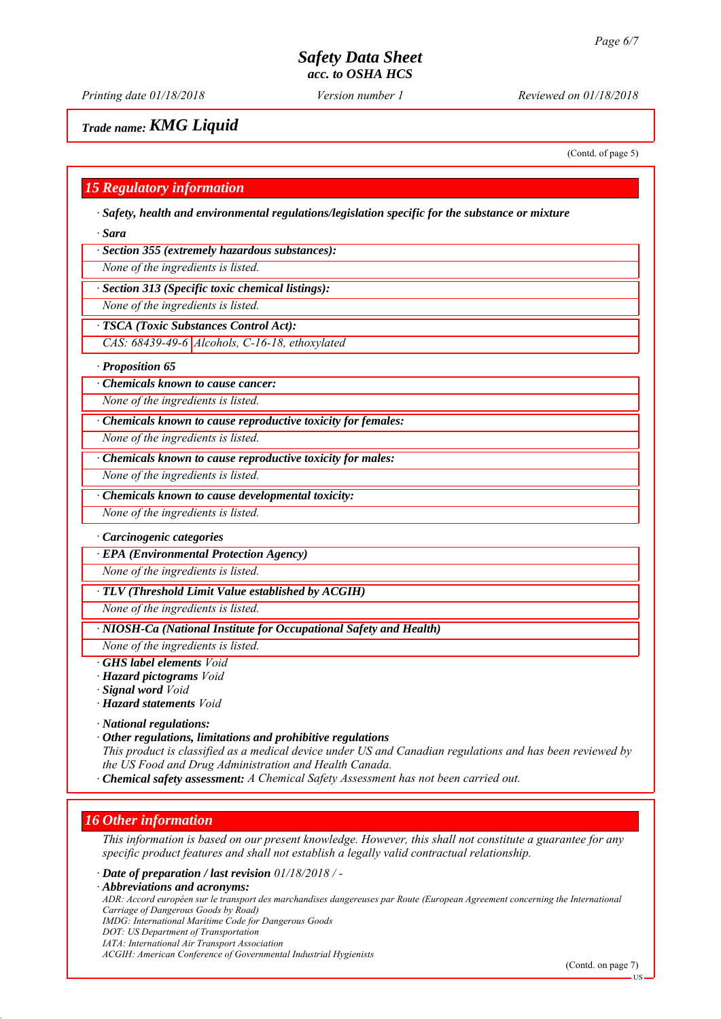*Printing date 01/18/2018 Reviewed on 01/18/2018 Version number 1*

#### *Trade name: KMG Liquid*

(Contd. of page 5)

#### *15 Regulatory information*

*∙ Safety, health and environmental regulations/legislation specific for the substance or mixture*

*∙ Sara*

*∙ Section 355 (extremely hazardous substances):*

*None of the ingredients is listed.*

*∙ Section 313 (Specific toxic chemical listings):*

*None of the ingredients is listed.*

*∙ TSCA (Toxic Substances Control Act):*

*CAS: 68439-49-6 Alcohols, C-16-18, ethoxylated*

*∙ Proposition 65*

*∙ Chemicals known to cause cancer:*

*None of the ingredients is listed.*

*∙ Chemicals known to cause reproductive toxicity for females:*

*None of the ingredients is listed.*

*∙ Chemicals known to cause reproductive toxicity for males:*

*None of the ingredients is listed.*

*∙ Chemicals known to cause developmental toxicity:*

*None of the ingredients is listed.*

#### *∙ Carcinogenic categories*

*∙ EPA (Environmental Protection Agency)*

*None of the ingredients is listed.*

*∙ TLV (Threshold Limit Value established by ACGIH)*

*None of the ingredients is listed.*

*∙ NIOSH-Ca (National Institute for Occupational Safety and Health)*

*None of the ingredients is listed.*

*∙ GHS label elements Void*

*∙ Hazard pictograms Void*

*∙ Signal word Void*

*∙ Hazard statements Void*

*∙ National regulations:*

*∙ Other regulations, limitations and prohibitive regulations This product is classified as a medical device under US and Canadian regulations and has been reviewed by the US Food and Drug Administration and Health Canada.*

*∙ Chemical safety assessment: A Chemical Safety Assessment has not been carried out.*

#### *16 Other information*

*This information is based on our present knowledge. However, this shall not constitute a guarantee for any specific product features and shall not establish a legally valid contractual relationship.*

*∙ Date of preparation / last revision 01/18/2018 / -*

*∙ Abbreviations and acronyms:*

*ADR: Accord européen sur le transport des marchandises dangereuses par Route (European Agreement concerning the International Carriage of Dangerous Goods by Road)*

*IMDG: International Maritime Code for Dangerous Goods*

*DOT: US Department of Transportation*

*IATA: International Air Transport Association*

*ACGIH: American Conference of Governmental Industrial Hygienists*